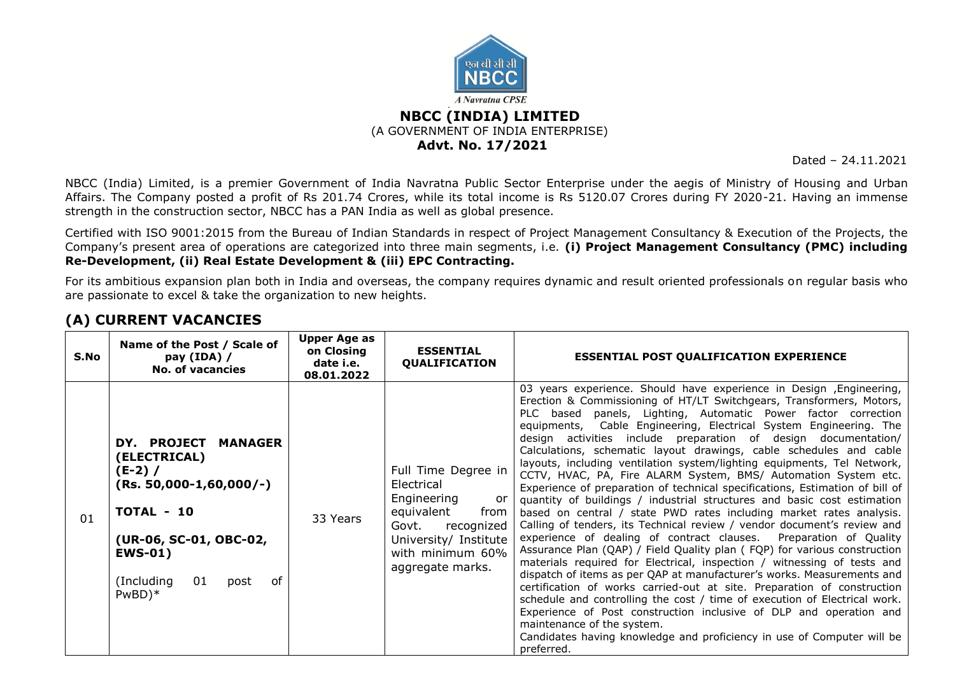

Dated – 24.11.2021

NBCC (India) Limited, is a premier Government of India Navratna Public Sector Enterprise under the aegis of Ministry of Housing and Urban Affairs. The Company posted a profit of Rs 201.74 Crores, while its total income is Rs 5120.07 Crores during FY 2020-21. Having an immense strength in the construction sector, NBCC has a PAN India as well as global presence.

Certified with ISO 9001:2015 from the Bureau of Indian Standards in respect of Project Management Consultancy & Execution of the Projects, the Company's present area of operations are categorized into three main segments, i.e. **(i) Project Management Consultancy (PMC) including Re-Development, (ii) Real Estate Development & (iii) EPC Contracting.**

For its ambitious expansion plan both in India and overseas, the company requires dynamic and result oriented professionals on regular basis who are passionate to excel & take the organization to new heights.

| S.No | Name of the Post / Scale of<br>pay (IDA) /<br><b>No. of vacancies</b>                                                                                                                 | <b>Upper Age as</b><br>on Closing<br>date i.e.<br>08.01.2022 | <b>ESSENTIAL</b><br>QUALIFICATION                                                                                                                                    | <b>ESSENTIAL POST QUALIFICATION EXPERIENCE</b>                                                                                                                                                                                                                                                                                                                                                                                                                                                                                                                                                                                                                                                                                                                                                                                                                                                                                                                                                                                                                                                                                                                                                                                                                                                                                                                                                                                                                                                                                                 |
|------|---------------------------------------------------------------------------------------------------------------------------------------------------------------------------------------|--------------------------------------------------------------|----------------------------------------------------------------------------------------------------------------------------------------------------------------------|------------------------------------------------------------------------------------------------------------------------------------------------------------------------------------------------------------------------------------------------------------------------------------------------------------------------------------------------------------------------------------------------------------------------------------------------------------------------------------------------------------------------------------------------------------------------------------------------------------------------------------------------------------------------------------------------------------------------------------------------------------------------------------------------------------------------------------------------------------------------------------------------------------------------------------------------------------------------------------------------------------------------------------------------------------------------------------------------------------------------------------------------------------------------------------------------------------------------------------------------------------------------------------------------------------------------------------------------------------------------------------------------------------------------------------------------------------------------------------------------------------------------------------------------|
| 01   | DY. PROJECT MANAGER<br>(ELECTRICAL)<br>$(E-2) /$<br>$(Rs. 50,000-1,60,000/-)$<br>TOTAL - 10<br>(UR-06, SC-01, OBC-02,<br><b>EWS-01)</b><br>(Including<br>01<br>post<br>of<br>$PwBD)*$ | 33 Years                                                     | Full Time Degree in<br>Electrical<br>Engineering<br>or<br>equivalent<br>from<br>recognized<br>Govt.<br>University/ Institute<br>with minimum 60%<br>aggregate marks. | 03 years experience. Should have experience in Design , Engineering,<br>Erection & Commissioning of HT/LT Switchgears, Transformers, Motors,<br>PLC based panels, Lighting, Automatic Power factor correction<br>equipments, Cable Engineering, Electrical System Engineering. The<br>design activities include preparation of design documentation/<br>Calculations, schematic layout drawings, cable schedules and cable<br>layouts, including ventilation system/lighting equipments, Tel Network,<br>CCTV, HVAC, PA, Fire ALARM System, BMS/ Automation System etc.<br>Experience of preparation of technical specifications, Estimation of bill of<br>quantity of buildings / industrial structures and basic cost estimation<br>based on central / state PWD rates including market rates analysis.<br>Calling of tenders, its Technical review / vendor document's review and<br>experience of dealing of contract clauses. Preparation of Quality<br>Assurance Plan (QAP) / Field Quality plan (FQP) for various construction<br>materials required for Electrical, inspection / witnessing of tests and<br>dispatch of items as per QAP at manufacturer's works. Measurements and<br>certification of works carried-out at site. Preparation of construction<br>schedule and controlling the cost / time of execution of Electrical work.<br>Experience of Post construction inclusive of DLP and operation and<br>maintenance of the system.<br>Candidates having knowledge and proficiency in use of Computer will be<br>preferred. |

# **(A) CURRENT VACANCIES**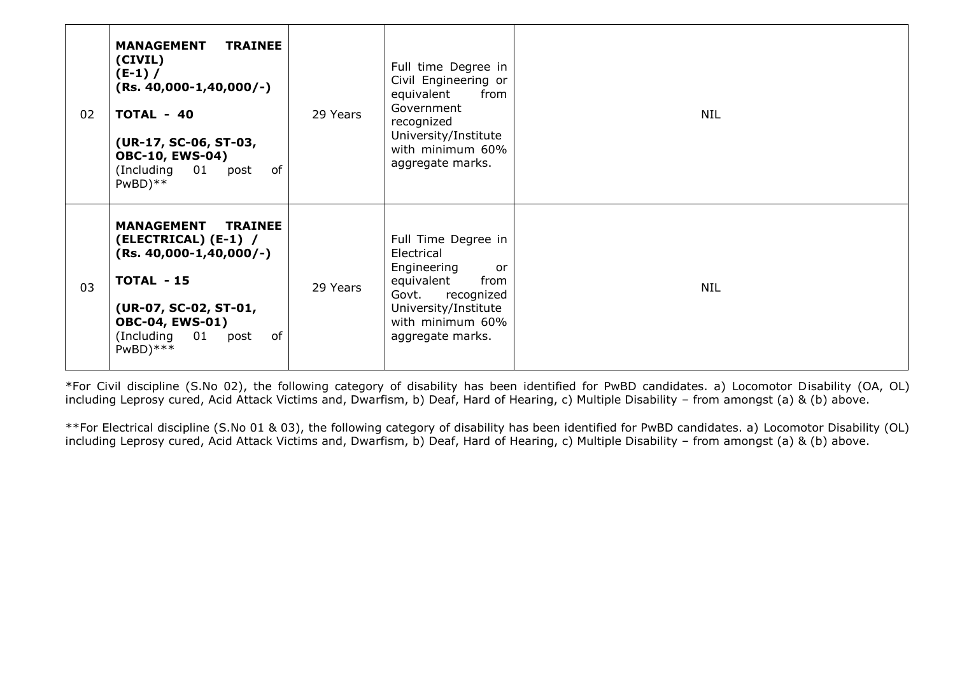| 02 | <b>TRAINEE</b><br><b>MANAGEMENT</b><br>(CIVIL)<br>$(E-1) /$<br>$(Rs. 40,000-1,40,000/-)$<br>TOTAL - 40<br>(UR-17, SC-06, ST-03,<br><b>OBC-10, EWS-04)</b><br>(Including<br>01<br>of<br>post<br>$PwBD$ <sup>**</sup> | 29 Years | Full time Degree in<br>Civil Engineering or<br>equivalent<br>from<br>Government<br>recognized<br>University/Institute<br>with minimum 60%<br>aggregate marks.       | <b>NIL</b> |
|----|---------------------------------------------------------------------------------------------------------------------------------------------------------------------------------------------------------------------|----------|---------------------------------------------------------------------------------------------------------------------------------------------------------------------|------------|
| 03 | <b>MANAGEMENT</b><br><b>TRAINEE</b><br>(ELECTRICAL) (E-1) /<br>$(Rs. 40,000-1,40,000/-)$<br>TOTAL - 15<br>(UR-07, SC-02, ST-01,<br><b>OBC-04, EWS-01)</b><br>01<br>(Including<br>of<br>post<br>$PwBD)$ ***          | 29 Years | Full Time Degree in<br>Electrical<br>Engineering<br>or<br>equivalent<br>from<br>Govt.<br>recognized<br>University/Institute<br>with minimum 60%<br>aggregate marks. | <b>NIL</b> |

\*For Civil discipline (S.No 02), the following category of disability has been identified for PwBD candidates. a) Locomotor Disability (OA, OL) including Leprosy cured, Acid Attack Victims and, Dwarfism, b) Deaf, Hard of Hearing, c) Multiple Disability – from amongst (a) & (b) above.

\*\*For Electrical discipline (S.No 01 & 03), the following category of disability has been identified for PwBD candidates. a) Locomotor Disability (OL) including Leprosy cured, Acid Attack Victims and, Dwarfism, b) Deaf, Hard of Hearing, c) Multiple Disability – from amongst (a) & (b) above.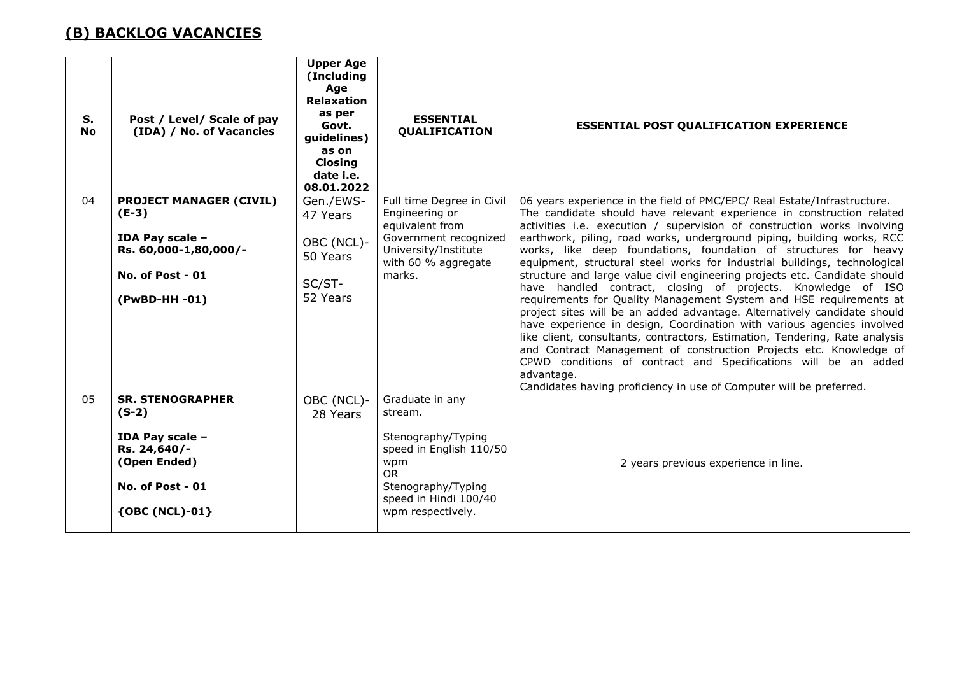# **(B) BACKLOG VACANCIES**

| S.<br><b>No</b> | Post / Level/ Scale of pay<br>(IDA) / No. of Vacancies                                                                      | <b>Upper Age</b><br>(Including<br>Age<br><b>Relaxation</b><br>as per<br>Govt.<br>guidelines)<br>as on<br><b>Closing</b><br>date i.e.<br>08.01.2022 | <b>ESSENTIAL</b><br><b>QUALIFICATION</b>                                                                                                                            | <b>ESSENTIAL POST QUALIFICATION EXPERIENCE</b>                                                                                                                                                                                                                                                                                                                                                                                                                                                                                                                                                                                                                                                                                                                                                                                                                                                                                                                                                                                                                                                                                                 |
|-----------------|-----------------------------------------------------------------------------------------------------------------------------|----------------------------------------------------------------------------------------------------------------------------------------------------|---------------------------------------------------------------------------------------------------------------------------------------------------------------------|------------------------------------------------------------------------------------------------------------------------------------------------------------------------------------------------------------------------------------------------------------------------------------------------------------------------------------------------------------------------------------------------------------------------------------------------------------------------------------------------------------------------------------------------------------------------------------------------------------------------------------------------------------------------------------------------------------------------------------------------------------------------------------------------------------------------------------------------------------------------------------------------------------------------------------------------------------------------------------------------------------------------------------------------------------------------------------------------------------------------------------------------|
| 04              | <b>PROJECT MANAGER (CIVIL)</b><br>$(E-3)$<br>IDA Pay scale -<br>Rs. 60,000-1,80,000/-<br>No. of Post - 01<br>(PwBD-HH-01)   | Gen./EWS-<br>47 Years<br>OBC (NCL)-<br>50 Years<br>SC/ST-<br>52 Years                                                                              | Full time Degree in Civil<br>Engineering or<br>equivalent from<br>Government recognized<br>University/Institute<br>with 60 % aggregate<br>marks.                    | 06 years experience in the field of PMC/EPC/ Real Estate/Infrastructure.<br>The candidate should have relevant experience in construction related<br>activities i.e. execution / supervision of construction works involving<br>earthwork, piling, road works, underground piping, building works, RCC<br>works, like deep foundations, foundation of structures for heavy<br>equipment, structural steel works for industrial buildings, technological<br>structure and large value civil engineering projects etc. Candidate should<br>have handled contract, closing of projects. Knowledge of ISO<br>requirements for Quality Management System and HSE requirements at<br>project sites will be an added advantage. Alternatively candidate should<br>have experience in design, Coordination with various agencies involved<br>like client, consultants, contractors, Estimation, Tendering, Rate analysis<br>and Contract Management of construction Projects etc. Knowledge of<br>CPWD conditions of contract and Specifications will be an added<br>advantage.<br>Candidates having proficiency in use of Computer will be preferred. |
| 05              | <b>SR. STENOGRAPHER</b><br>$(S-2)$<br>IDA Pay scale -<br>Rs. 24,640/-<br>(Open Ended)<br>No. of Post - 01<br>{OBC (NCL)-01} | OBC (NCL)-<br>28 Years                                                                                                                             | Graduate in any<br>stream.<br>Stenography/Typing<br>speed in English 110/50<br>wpm<br><b>OR</b><br>Stenography/Typing<br>speed in Hindi 100/40<br>wpm respectively. | 2 years previous experience in line.                                                                                                                                                                                                                                                                                                                                                                                                                                                                                                                                                                                                                                                                                                                                                                                                                                                                                                                                                                                                                                                                                                           |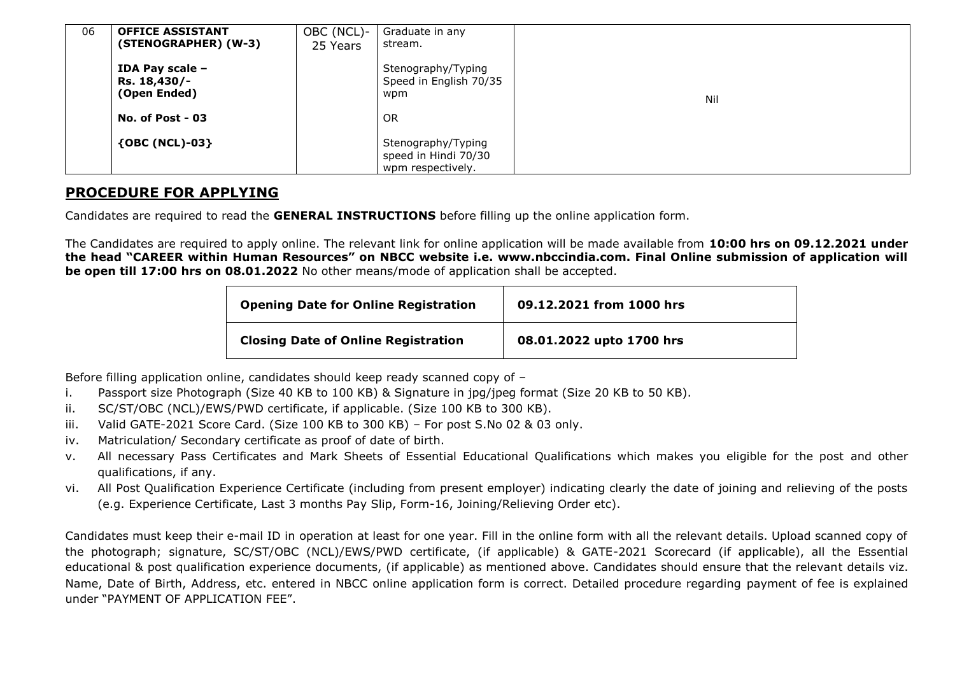| 06 | <b>OFFICE ASSISTANT</b><br>(STENOGRAPHER) (W-3) | OBC (NCL)-<br>25 Years | Graduate in any<br>stream.                                      |     |
|----|-------------------------------------------------|------------------------|-----------------------------------------------------------------|-----|
|    | IDA Pay scale -<br>Rs. 18,430/-<br>(Open Ended) |                        | Stenography/Typing<br>Speed in English 70/35<br>wpm             | Nil |
|    | No. of Post $-03$                               |                        | <b>OR</b>                                                       |     |
|    | ${OBC (NCL)-03}$                                |                        | Stenography/Typing<br>speed in Hindi 70/30<br>wpm respectively. |     |

### **PROCEDURE FOR APPLYING**

Candidates are required to read the **GENERAL INSTRUCTIONS** before filling up the online application form.

The Candidates are required to apply online. The relevant link for online application will be made available from **10:00 hrs on 09.12.2021 under the head "CAREER within Human Resources" on NBCC website i.e. www.nbccindia.com. Final Online submission of application will be open till 17:00 hrs on 08.01.2022** No other means/mode of application shall be accepted.

| <b>Opening Date for Online Registration</b> | 09.12.2021 from 1000 hrs |
|---------------------------------------------|--------------------------|
| <b>Closing Date of Online Registration</b>  | 08.01.2022 upto 1700 hrs |

Before filling application online, candidates should keep ready scanned copy of –

- i. Passport size Photograph (Size 40 KB to 100 KB) & Signature in jpg/jpeg format (Size 20 KB to 50 KB).
- ii. SC/ST/OBC (NCL)/EWS/PWD certificate, if applicable. (Size 100 KB to 300 KB).
- iii. Valid GATE-2021 Score Card. (Size 100 KB to 300 KB) For post S.No 02 & 03 only.
- iv. Matriculation/ Secondary certificate as proof of date of birth.
- v. All necessary Pass Certificates and Mark Sheets of Essential Educational Qualifications which makes you eligible for the post and other qualifications, if any.
- vi. All Post Qualification Experience Certificate (including from present employer) indicating clearly the date of joining and relieving of the posts (e.g. Experience Certificate, Last 3 months Pay Slip, Form-16, Joining/Relieving Order etc).

Candidates must keep their e-mail ID in operation at least for one year. Fill in the online form with all the relevant details. Upload scanned copy of the photograph; signature, SC/ST/OBC (NCL)/EWS/PWD certificate, (if applicable) & GATE-2021 Scorecard (if applicable), all the Essential educational & post qualification experience documents, (if applicable) as mentioned above. Candidates should ensure that the relevant details viz. Name, Date of Birth, Address, etc. entered in NBCC online application form is correct. Detailed procedure regarding payment of fee is explained under "PAYMENT OF APPLICATION FEE".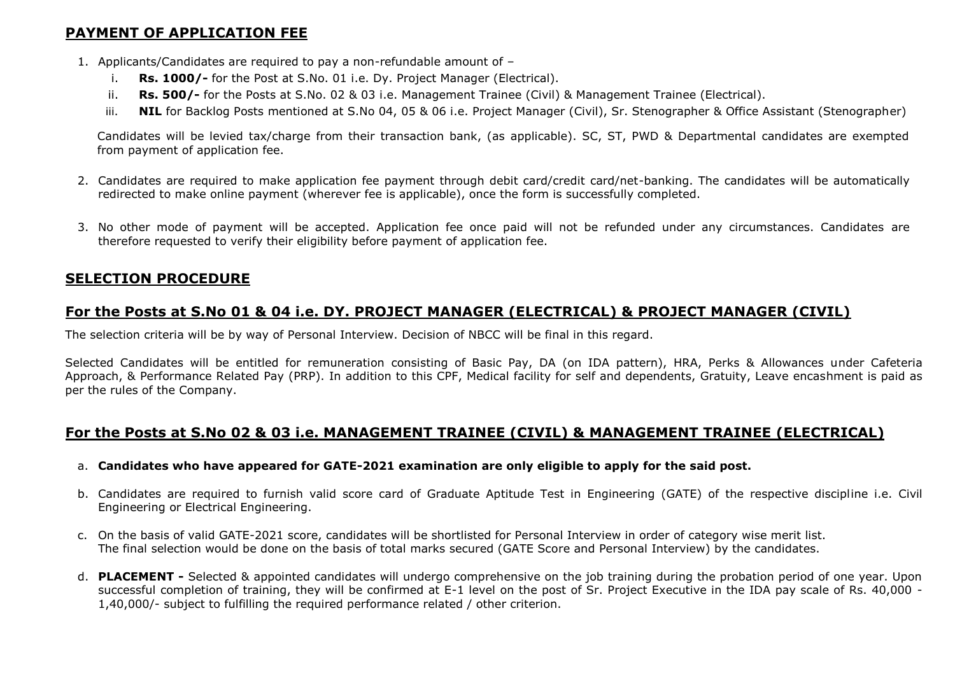## **PAYMENT OF APPLICATION FEE**

- 1. Applicants/Candidates are required to pay a non-refundable amount of
	- i. **Rs. 1000/-** for the Post at S.No. 01 i.e. Dy. Project Manager (Electrical).
	- ii. **Rs. 500/-** for the Posts at S.No. 02 & 03 i.e. Management Trainee (Civil) & Management Trainee (Electrical).
	- iii. NIL for Backlog Posts mentioned at S.No 04, 05 & 06 i.e. Project Manager (Civil), Sr. Stenographer & Office Assistant (Stenographer)

Candidates will be levied tax/charge from their transaction bank, (as applicable). SC, ST, PWD & Departmental candidates are exempted from payment of application fee.

- 2. Candidates are required to make application fee payment through debit card/credit card/net-banking. The candidates will be automatically redirected to make online payment (wherever fee is applicable), once the form is successfully completed.
- 3. No other mode of payment will be accepted. Application fee once paid will not be refunded under any circumstances. Candidates are therefore requested to verify their eligibility before payment of application fee.

#### **SELECTION PROCEDURE**

## **For the Posts at S.No 01 & 04 i.e. DY. PROJECT MANAGER (ELECTRICAL) & PROJECT MANAGER (CIVIL)**

The selection criteria will be by way of Personal Interview. Decision of NBCC will be final in this regard.

Selected Candidates will be entitled for remuneration consisting of Basic Pay, DA (on IDA pattern), HRA, Perks & Allowances under Cafeteria Approach, & Performance Related Pay (PRP). In addition to this CPF, Medical facility for self and dependents, Gratuity, Leave encashment is paid as per the rules of the Company.

### **For the Posts at S.No 02 & 03 i.e. MANAGEMENT TRAINEE (CIVIL) & MANAGEMENT TRAINEE (ELECTRICAL)**

- a. **Candidates who have appeared for GATE-2021 examination are only eligible to apply for the said post.**
- b. Candidates are required to furnish valid score card of Graduate Aptitude Test in Engineering (GATE) of the respective discipline i.e. Civil Engineering or Electrical Engineering.
- c. On the basis of valid GATE-2021 score, candidates will be shortlisted for Personal Interview in order of category wise merit list. The final selection would be done on the basis of total marks secured (GATE Score and Personal Interview) by the candidates.
- d. **PLACEMENT -** Selected & appointed candidates will undergo comprehensive on the job training during the probation period of one year. Upon successful completion of training, they will be confirmed at E-1 level on the post of Sr. Project Executive in the IDA pay scale of Rs. 40,000 - 1,40,000/- subject to fulfilling the required performance related / other criterion.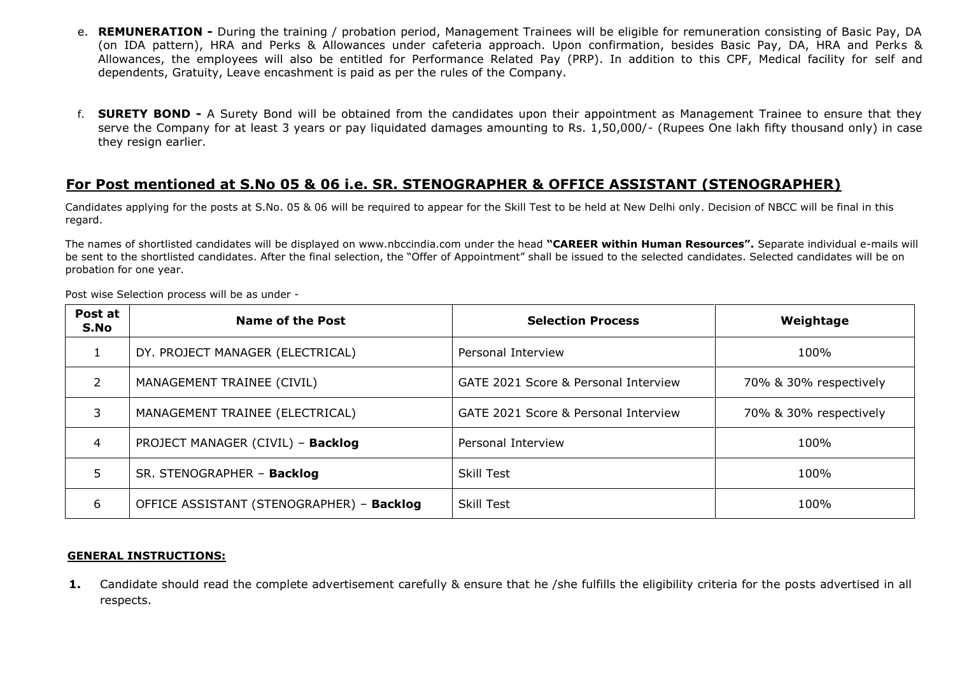- e. **REMUNERATION -** During the training / probation period, Management Trainees will be eligible for remuneration consisting of Basic Pay, DA (on IDA pattern), HRA and Perks & Allowances under cafeteria approach. Upon confirmation, besides Basic Pay, DA, HRA and Perks & Allowances, the employees will also be entitled for Performance Related Pay (PRP). In addition to this CPF, Medical facility for self and dependents, Gratuity, Leave encashment is paid as per the rules of the Company.
- f. **SURETY BOND -** A Surety Bond will be obtained from the candidates upon their appointment as Management Trainee to ensure that they serve the Company for at least 3 years or pay liquidated damages amounting to Rs. 1,50,000/- (Rupees One lakh fifty thousand only) in case they resign earlier.

#### **For Post mentioned at S.No 05 & 06 i.e. SR. STENOGRAPHER & OFFICE ASSISTANT (STENOGRAPHER)**

Candidates applying for the posts at S.No. 05 & 06 will be required to appear for the Skill Test to be held at New Delhi only. Decision of NBCC will be final in this regard.

The names of shortlisted candidates will be displayed on www.nbccindia.com under the head **"CAREER within Human Resources".** Separate individual e-mails will be sent to the shortlisted candidates. After the final selection, the "Offer of Appointment" shall be issued to the selected candidates. Selected candidates will be on probation for one year.

| Post at<br>S.No | <b>Name of the Post</b>                   | <b>Selection Process</b>             | Weightage              |
|-----------------|-------------------------------------------|--------------------------------------|------------------------|
|                 | DY. PROJECT MANAGER (ELECTRICAL)          | Personal Interview                   | 100%                   |
| $\overline{2}$  | MANAGEMENT TRAINEE (CIVIL)                | GATE 2021 Score & Personal Interview | 70% & 30% respectively |
| 3               | MANAGEMENT TRAINEE (ELECTRICAL)           | GATE 2021 Score & Personal Interview | 70% & 30% respectively |
| 4               | PROJECT MANAGER (CIVIL) - Backlog         | Personal Interview                   | 100%                   |
| 5               | SR. STENOGRAPHER - Backlog                | <b>Skill Test</b>                    | 100%                   |
| 6               | OFFICE ASSISTANT (STENOGRAPHER) - Backlog | Skill Test                           | 100%                   |

Post wise Selection process will be as under -

#### **GENERAL INSTRUCTIONS:**

**1.** Candidate should read the complete advertisement carefully & ensure that he /she fulfills the eligibility criteria for the posts advertised in all respects.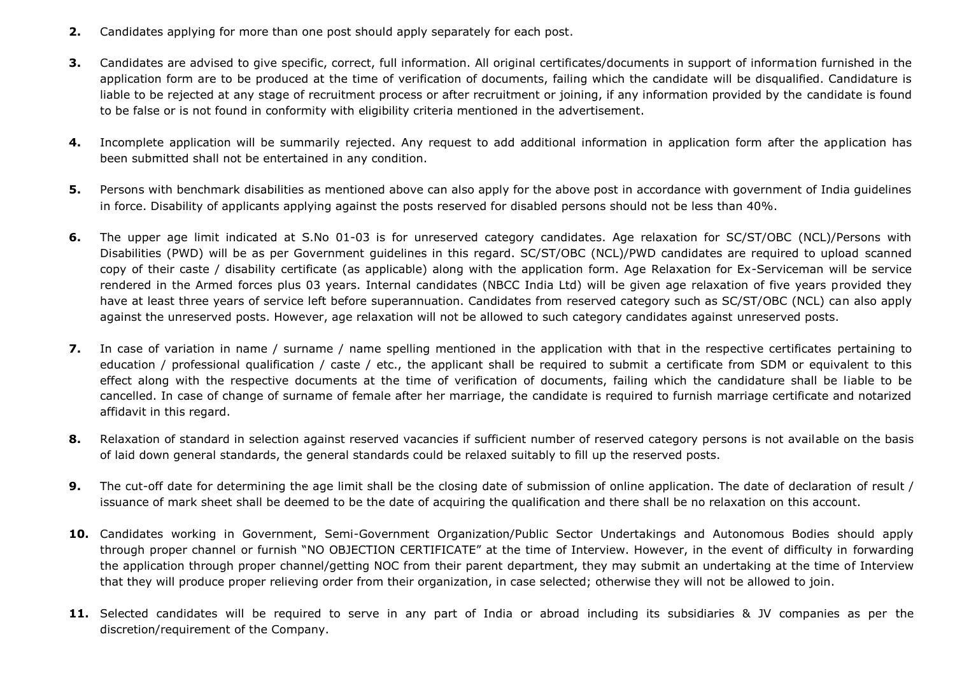- **2.** Candidates applying for more than one post should apply separately for each post.
- **3.** Candidates are advised to give specific, correct, full information. All original certificates/documents in support of information furnished in the application form are to be produced at the time of verification of documents, failing which the candidate will be disqualified. Candidature is liable to be rejected at any stage of recruitment process or after recruitment or joining, if any information provided by the candidate is found to be false or is not found in conformity with eligibility criteria mentioned in the advertisement.
- **4.** Incomplete application will be summarily rejected. Any request to add additional information in application form after the application has been submitted shall not be entertained in any condition.
- **5.** Persons with benchmark disabilities as mentioned above can also apply for the above post in accordance with government of India guidelines in force. Disability of applicants applying against the posts reserved for disabled persons should not be less than 40%.
- **6.** The upper age limit indicated at S.No 01-03 is for unreserved category candidates. Age relaxation for SC/ST/OBC (NCL)/Persons with Disabilities (PWD) will be as per Government guidelines in this regard. SC/ST/OBC (NCL)/PWD candidates are required to upload scanned copy of their caste / disability certificate (as applicable) along with the application form. Age Relaxation for Ex-Serviceman will be service rendered in the Armed forces plus 03 years. Internal candidates (NBCC India Ltd) will be given age relaxation of five years provided they have at least three years of service left before superannuation. Candidates from reserved category such as SC/ST/OBC (NCL) can also apply against the unreserved posts. However, age relaxation will not be allowed to such category candidates against unreserved posts.
- **7.** In case of variation in name / surname / name spelling mentioned in the application with that in the respective certificates pertaining to education / professional qualification / caste / etc., the applicant shall be required to submit a certificate from SDM or equivalent to this effect along with the respective documents at the time of verification of documents, failing which the candidature shall be liable to be cancelled. In case of change of surname of female after her marriage, the candidate is required to furnish marriage certificate and notarized affidavit in this regard.
- **8.** Relaxation of standard in selection against reserved vacancies if sufficient number of reserved category persons is not available on the basis of laid down general standards, the general standards could be relaxed suitably to fill up the reserved posts.
- **9.** The cut-off date for determining the age limit shall be the closing date of submission of online application. The date of declaration of result / issuance of mark sheet shall be deemed to be the date of acquiring the qualification and there shall be no relaxation on this account.
- **10.** Candidates working in Government, Semi-Government Organization/Public Sector Undertakings and Autonomous Bodies should apply through proper channel or furnish "NO OBJECTION CERTIFICATE" at the time of Interview. However, in the event of difficulty in forwarding the application through proper channel/getting NOC from their parent department, they may submit an undertaking at the time of Interview that they will produce proper relieving order from their organization, in case selected; otherwise they will not be allowed to join.
- **11.** Selected candidates will be required to serve in any part of India or abroad including its subsidiaries & JV companies as per the discretion/requirement of the Company.